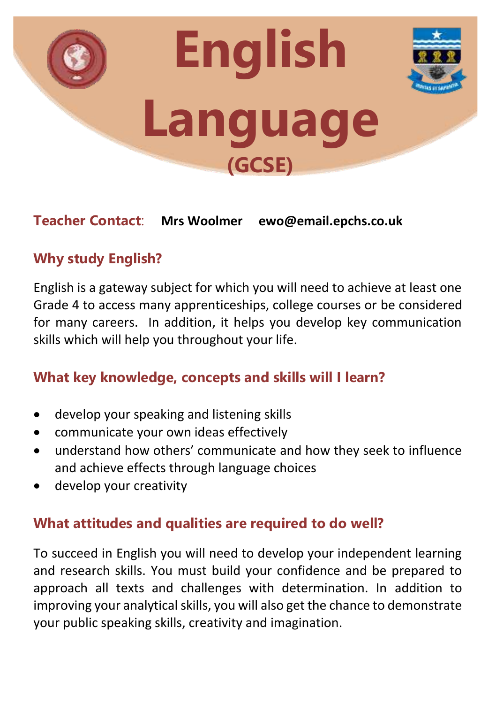

### **Teacher Contact**: **Mrs Woolmer ewo@email.epchs.co.uk**

# **Why study English?**

English is a gateway subject for which you will need to achieve at least one Grade 4 to access many apprenticeships, college courses or be considered for many careers. In addition, it helps you develop key communication skills which will help you throughout your life.

## **What key knowledge, concepts and skills will I learn?**

- develop your speaking and listening skills
- communicate your own ideas effectively
- understand how others' communicate and how they seek to influence and achieve effects through language choices
- develop your creativity

### **What attitudes and qualities are required to do well?**

To succeed in English you will need to develop your independent learning and research skills. You must build your confidence and be prepared to approach all texts and challenges with determination. In addition to improving your analytical skills, you will also get the chance to demonstrate your public speaking skills, creativity and imagination.